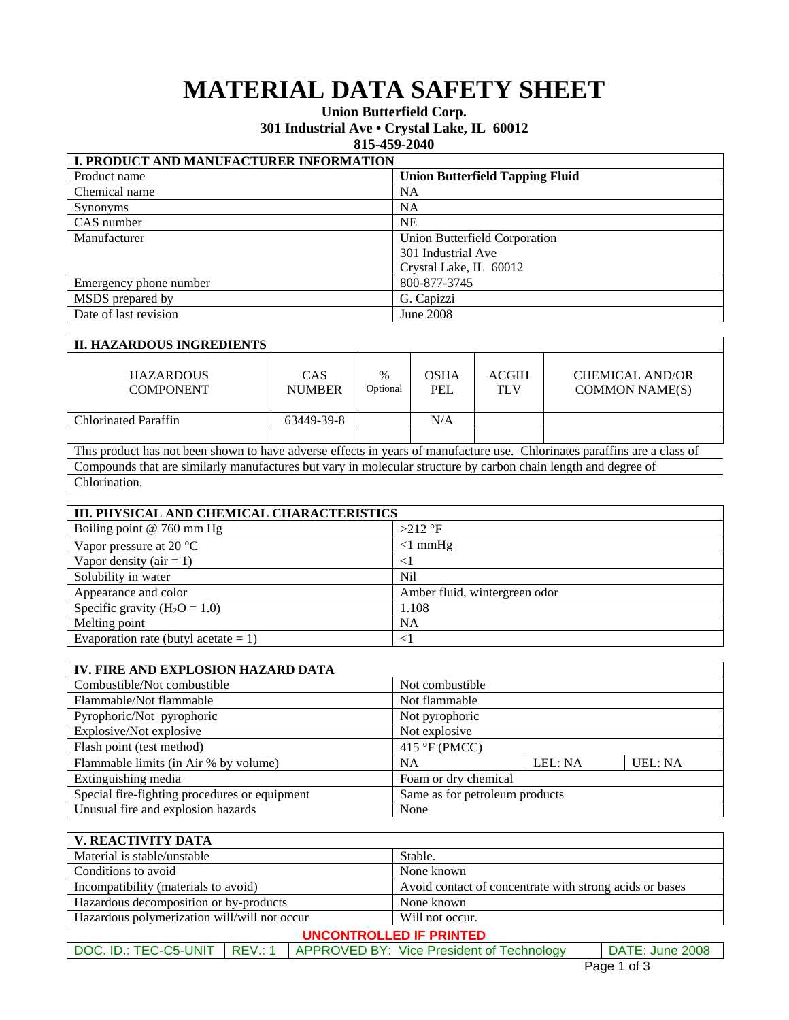# **MATERIAL DATA SAFETY SHEET**

## **Union Butterfield Corp.**

**301 Industrial Ave • Crystal Lake, IL 60012** 

#### **815-459-2040**

| I. PRODUCT AND MANUFACTURER INFORMATION |                                        |  |
|-----------------------------------------|----------------------------------------|--|
| Product name                            | <b>Union Butterfield Tapping Fluid</b> |  |
| Chemical name                           | NA                                     |  |
| <b>Synonyms</b>                         | NA                                     |  |
| CAS number                              | <b>NE</b>                              |  |
| Manufacturer                            | Union Butterfield Corporation          |  |
|                                         | 301 Industrial Ave                     |  |
|                                         | Crystal Lake, IL 60012                 |  |
| Emergency phone number                  | 800-877-3745                           |  |
| MSDS prepared by                        | G. Capizzi                             |  |
| Date of last revision                   | June 2008                              |  |

### **II. HAZARDOUS INGREDIENTS**

| <b>HAZARDOUS</b><br><b>COMPONENT</b>                                                                                      | CAS<br><b>NUMBER</b> | $\%$<br>Optional | <b>OSHA</b><br>PEL | <b>ACGIH</b><br><b>TLV</b> | <b>CHEMICAL AND/OR</b><br><b>COMMON NAME(S)</b> |
|---------------------------------------------------------------------------------------------------------------------------|----------------------|------------------|--------------------|----------------------------|-------------------------------------------------|
| <b>Chlorinated Paraffin</b>                                                                                               | 63449-39-8           |                  | N/A                |                            |                                                 |
|                                                                                                                           |                      |                  |                    |                            |                                                 |
| This product has not been shown to have adverse effects in years of manufacture use. Chlorinates paraffins are a class of |                      |                  |                    |                            |                                                 |
| Compounds that are similarly manufactures but vary in molecular structure by carbon chain length and degree of            |                      |                  |                    |                            |                                                 |
| Chlorination.                                                                                                             |                      |                  |                    |                            |                                                 |

| III. PHYSICAL AND CHEMICAL CHARACTERISTICS |                               |  |
|--------------------------------------------|-------------------------------|--|
| Boiling point @ 760 mm Hg                  | $>212$ °F                     |  |
| Vapor pressure at 20 $\degree$ C           | $<1$ mmHg                     |  |
| Vapor density ( $air = 1$ )                | $\langle$ 1                   |  |
| Solubility in water                        | Nil                           |  |
| Appearance and color                       | Amber fluid, wintergreen odor |  |
| Specific gravity $(H_2O = 1.0)$            | 1.108                         |  |
| Melting point                              | <b>NA</b>                     |  |
| Evaporation rate (butyl acetate $= 1$ )    | <                             |  |

| IV. FIRE AND EXPLOSION HAZARD DATA            |                                |         |                |
|-----------------------------------------------|--------------------------------|---------|----------------|
| Combustible/Not combustible                   | Not combustible                |         |                |
| Flammable/Not flammable                       | Not flammable                  |         |                |
| Pyrophoric/Not pyrophoric                     | Not pyrophoric                 |         |                |
| Explosive/Not explosive                       | Not explosive                  |         |                |
| Flash point (test method)                     | 415 °F (PMCC)                  |         |                |
| Flammable limits (in Air % by volume)         | NA                             | LEL: NA | <b>UEL: NA</b> |
| Extinguishing media                           | Foam or dry chemical           |         |                |
| Special fire-fighting procedures or equipment | Same as for petroleum products |         |                |
| Unusual fire and explosion hazards            | None                           |         |                |

| V. REACTIVITY DATA                                              |                                                         |  |
|-----------------------------------------------------------------|---------------------------------------------------------|--|
| Material is stable/unstable                                     | Stable.                                                 |  |
| Conditions to avoid                                             | None known                                              |  |
| Incompatibility (materials to avoid)                            | Avoid contact of concentrate with strong acids or bases |  |
| Hazardous decomposition or by-products                          | None known                                              |  |
| Hazardous polymerization will/will not occur<br>Will not occur. |                                                         |  |
| <b>UNCONTROLLED IF PRINTED</b>                                  |                                                         |  |

## DOC. ID.: TEC-C5-UNIT | REV.: 1 | APPROVED BY: Vice President of Technology | DATE: June 2008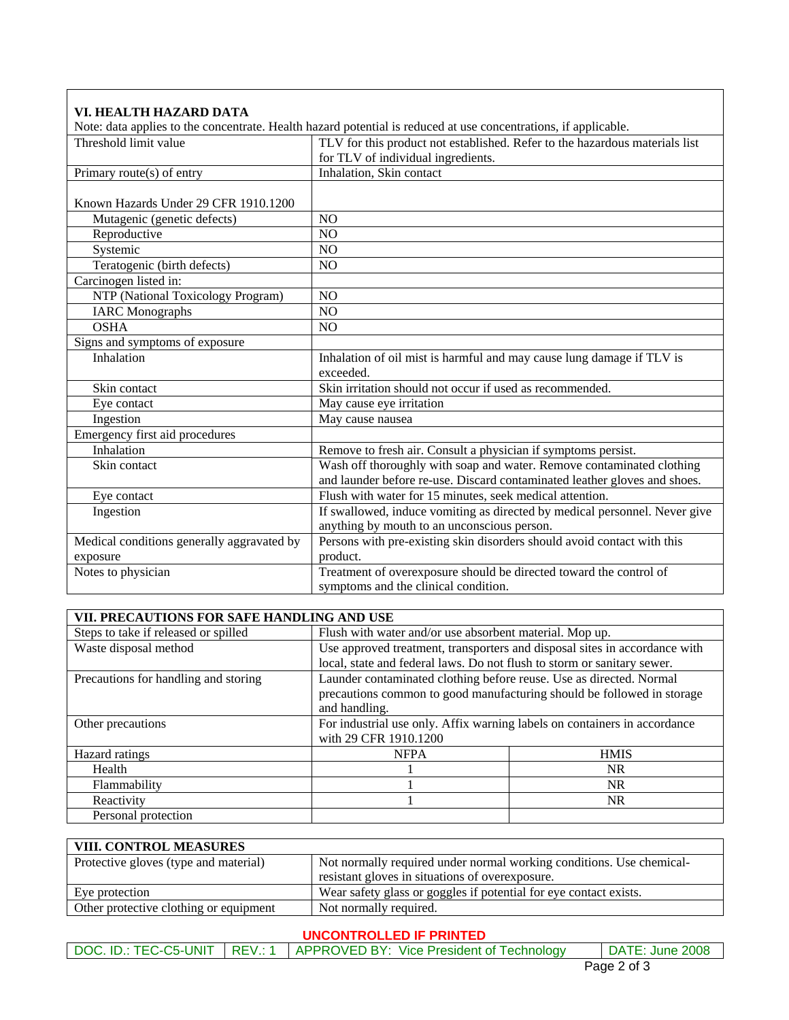| VI. HEALTH HAZARD DATA                     |                                                                                                                   |
|--------------------------------------------|-------------------------------------------------------------------------------------------------------------------|
|                                            | Note: data applies to the concentrate. Health hazard potential is reduced at use concentrations, if applicable.   |
| Threshold limit value                      | TLV for this product not established. Refer to the hazardous materials list<br>for TLV of individual ingredients. |
| Primary route(s) of entry                  | Inhalation, Skin contact                                                                                          |
| Known Hazards Under 29 CFR 1910.1200       |                                                                                                                   |
| Mutagenic (genetic defects)                | N <sub>O</sub>                                                                                                    |
| Reproductive                               | N <sub>O</sub>                                                                                                    |
| Systemic                                   | N <sub>O</sub>                                                                                                    |
| Teratogenic (birth defects)                | NO                                                                                                                |
| Carcinogen listed in:                      |                                                                                                                   |
| NTP (National Toxicology Program)          | NO                                                                                                                |
| <b>IARC</b> Monographs                     | NO                                                                                                                |
| <b>OSHA</b>                                | N <sub>O</sub>                                                                                                    |
| Signs and symptoms of exposure             |                                                                                                                   |
| Inhalation                                 | Inhalation of oil mist is harmful and may cause lung damage if TLV is<br>exceeded.                                |
| Skin contact                               | Skin irritation should not occur if used as recommended.                                                          |
| Eye contact                                | May cause eye irritation                                                                                          |
| Ingestion                                  | May cause nausea                                                                                                  |
| Emergency first aid procedures             |                                                                                                                   |
| Inhalation                                 | Remove to fresh air. Consult a physician if symptoms persist.                                                     |
| Skin contact                               | Wash off thoroughly with soap and water. Remove contaminated clothing                                             |
|                                            | and launder before re-use. Discard contaminated leather gloves and shoes.                                         |
| Eye contact                                | Flush with water for 15 minutes, seek medical attention.                                                          |
| Ingestion                                  | If swallowed, induce vomiting as directed by medical personnel. Never give                                        |
|                                            | anything by mouth to an unconscious person.                                                                       |
| Medical conditions generally aggravated by | Persons with pre-existing skin disorders should avoid contact with this                                           |
| exposure                                   | product.                                                                                                          |
| Notes to physician                         | Treatment of overexposure should be directed toward the control of                                                |
|                                            | symptoms and the clinical condition.                                                                              |

| VII. PRECAUTIONS FOR SAFE HANDLING AND USE |                                                                            |                                                                        |
|--------------------------------------------|----------------------------------------------------------------------------|------------------------------------------------------------------------|
| Steps to take if released or spilled       | Flush with water and/or use absorbent material. Mop up.                    |                                                                        |
| Waste disposal method                      | Use approved treatment, transporters and disposal sites in accordance with |                                                                        |
|                                            | local, state and federal laws. Do not flush to storm or sanitary sewer.    |                                                                        |
| Precautions for handling and storing       | Launder contaminated clothing before reuse. Use as directed. Normal        |                                                                        |
|                                            |                                                                            | precautions common to good manufacturing should be followed in storage |
|                                            | and handling.                                                              |                                                                        |
| Other precautions                          | For industrial use only. Affix warning labels on containers in accordance  |                                                                        |
|                                            | with 29 CFR 1910.1200                                                      |                                                                        |
| Hazard ratings                             | <b>NFPA</b>                                                                | <b>HMIS</b>                                                            |
| Health                                     |                                                                            | NR.                                                                    |
| Flammability                               |                                                                            | <b>NR</b>                                                              |
| Reactivity                                 |                                                                            | <b>NR</b>                                                              |
| Personal protection                        |                                                                            |                                                                        |

## **VIII. CONTROL MEASURES**

| Protective gloves (type and material)  | Not normally required under normal working conditions. Use chemical- |
|----------------------------------------|----------------------------------------------------------------------|
|                                        | resistant gloves in situations of overexposure.                      |
| Eye protection                         | Wear safety glass or goggles if potential for eye contact exists.    |
| Other protective clothing or equipment | Not normally required.                                               |

## **UNCONTROLLED IF PRINTED**

|  | DOC. ID.: TEC-C5-UNIT   REV.: 1   APPROVED BY: Vice President of Technology | DATE: June 2008 |
|--|-----------------------------------------------------------------------------|-----------------|